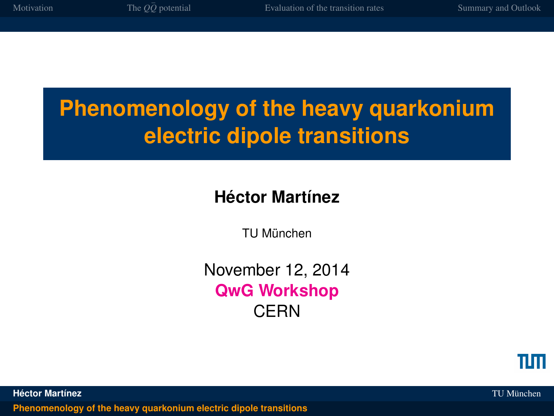## **Phenomenology of the heavy quarkonium electric dipole transitions**

## **Héctor Martínez**

TU München

November 12, 2014 **QwG Workshop CERN** 



**Héctor Martínez** TU München

<span id="page-0-0"></span>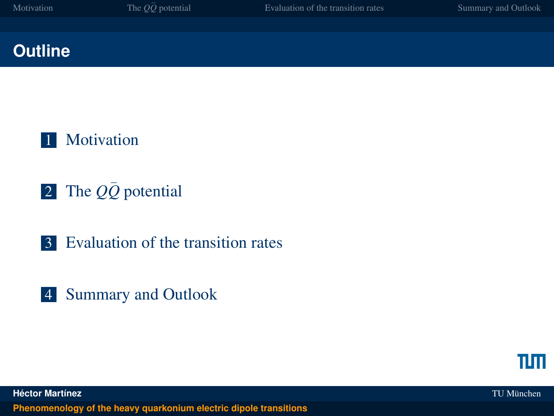#### **Outline**



- 2 The  $Q\bar{Q}$  [potential](#page-7-0)
- 3 [Evaluation of the transition rates](#page-17-0)
- 4 [Summary and Outlook](#page-22-0)



**Héctor Martínez** TU München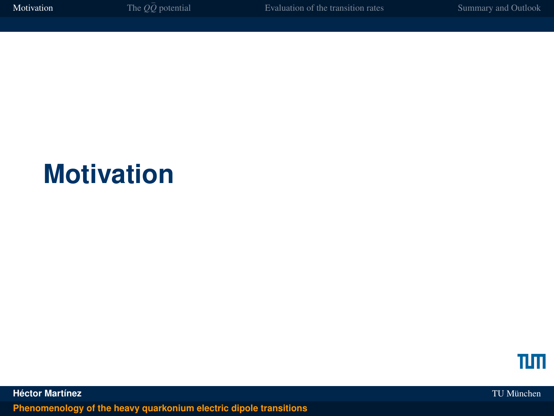## **Motivation**



**Héctor Martínez** TU München **[Phenomenology of the heavy quarkonium electric dipole transitions](#page-0-0)**

<span id="page-2-0"></span>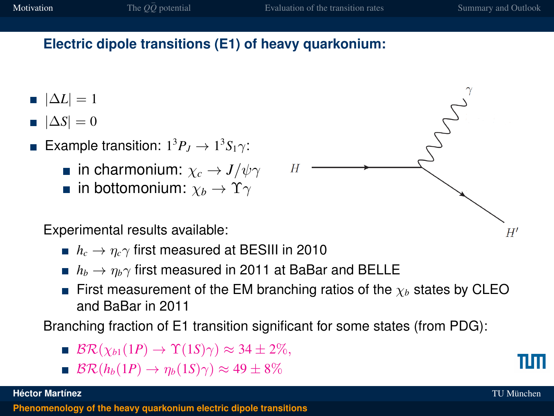#### **Electric dipole transitions (E1) of heavy quarkonium:**

- $|\Delta L| = 1$
- $|\Delta S| = 0$
- Example transition:  $1^3P_J \rightarrow 1^3S_1\gamma$ :
	- **in charmonium:**  $\chi_c \to J/\psi \gamma$
	- **igm** in bottomonium:  $\chi_b \to \Upsilon \gamma$
	- Experimental results available:
		- $h_c \rightarrow \eta_c \gamma$  first measured at BESIII in 2010
		- *h*<sub>b</sub>  $\rightarrow$   $\eta$ <sub>b</sub> $\gamma$  first measured in 2011 at BaBar and BELLE
		- First measurement of the EM branching ratios of the  $\chi_b$  states by CLEO and BaBar in 2011

Branching fraction of E1 transition significant for some states (from PDG):

- $\blacksquare$   $\mathcal{BR}(\chi_{b1}(1P) \to \Upsilon(1S)\gamma) \approx 34 \pm 2\%,$
- $\mathbb{B} \mathcal{R}(h_b(1) \to \eta_b(1) \gamma) \approx 49 \pm 8\%$





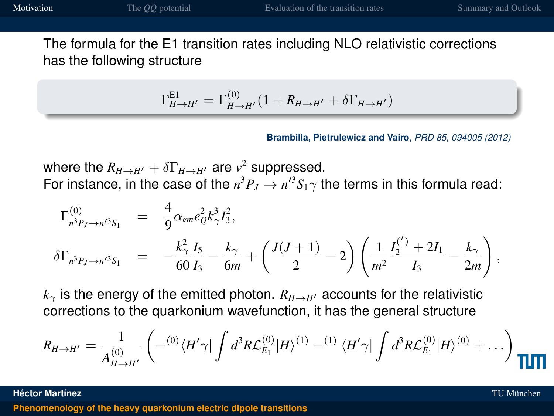The formula for the E1 transition rates including NLO relativistic corrections has the following structure

$$
\Gamma_{H\to H'}^{\text{EI}} = \Gamma_{H\to H'}^{(0)} (1 + R_{H\to H'} + \delta \Gamma_{H\to H'})
$$

**Brambilla, Pietrulewicz and Vairo**, *PRD 85, 094005 (2012)*

where the  $R_{H\rightarrow H'}+\delta\Gamma_{H\rightarrow H'}$  are  $v^2$  suppressed. For instance, in the case of the  $n^3P_J \rightarrow n'^3S_1\gamma$  the terms in this formula read:

$$
\Gamma_{n^3P_J \to n'^3S_1}^{(0)} = \frac{4}{9} \alpha_{em} e_Q^2 k_\gamma^3 I_3^2,
$$
\n
$$
\delta \Gamma_{n^3P_J \to n'^3S_1} = -\frac{k_\gamma^2}{60} \frac{I_5}{I_3} - \frac{k_\gamma}{6m} + \left(\frac{J(J+1)}{2} - 2\right) \left(\frac{1}{m^2} \frac{I_2^{(')} + 2I_1}{I_3} - \frac{k_\gamma}{2m}\right),
$$

 $k_{\gamma}$  is the energy of the emitted photon.  $R_{H\rightarrow H}$  accounts for the relativistic corrections to the quarkonium wavefunction, it has the general structure

$$
R_{H\to H'} = \frac{1}{A_{H\to H'}^{(0)}} \left( - {}^{(0)}\langle H'\gamma| \int d^3R \mathcal{L}_{E_1}^{(0)}|H\rangle^{(1)} - {}^{(1)}\langle H'\gamma| \int d^3R \mathcal{L}_{E_1}^{(0)}|H\rangle^{(0)} + \ldots \right)
$$

**Héctor Martínez** TU München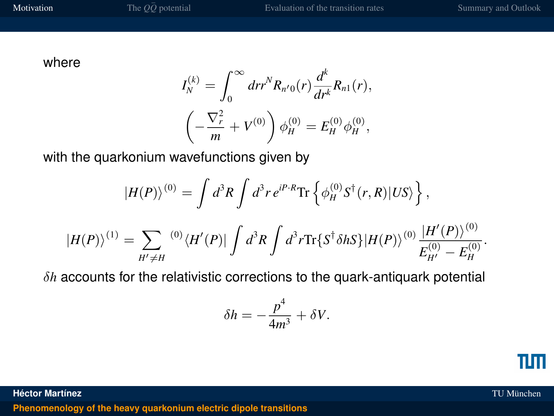where

$$
I_N^{(k)} = \int_0^\infty dr r^N R_{n'0}(r) \frac{d^k}{dr^k} R_{n1}(r),
$$
  

$$
\left(-\frac{\nabla_r^2}{m} + V^{(0)}\right) \phi_H^{(0)} = E_H^{(0)} \phi_H^{(0)},
$$

with the quarkonium wavefunctions given by

$$
|H(P)\rangle^{(0)} = \int d^3R \int d^3r \, e^{iP \cdot R} \text{Tr} \left\{ \phi_H^{(0)} S^\dagger(r, R) |US \rangle \right\},
$$
  

$$
|H(P)\rangle^{(1)} = \sum_{H' \neq H} {}^{(0)} \langle H'(P)| \int d^3R \int d^3r \text{Tr} \{ S^\dagger \delta h S \} |H(P)\rangle^{(0)} \frac{|H'(P)\rangle^{(0)}}{E_{H'}^{(0)} - E_H^{(0)}}.
$$

δ*h* accounts for the relativistic corrections to the quark-antiquark potential

$$
\delta h = -\frac{p^4}{4m^3} + \delta V.
$$

TUTI

**Héctor Martínez** TU München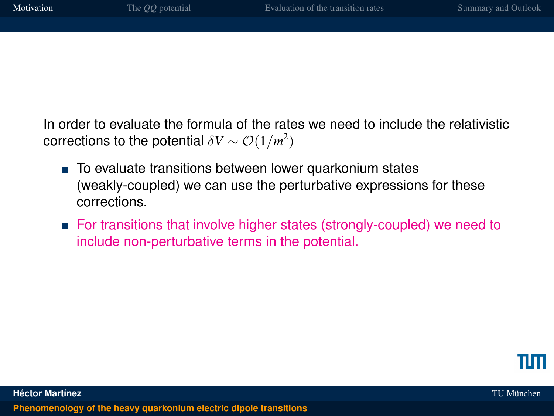In order to evaluate the formula of the rates we need to include the relativistic corrections to the potential  $\delta V \sim {\cal O}(1/m^2)$ 

- To evaluate transitions between lower quarkonium states (weakly-coupled) we can use the perturbative expressions for these corrections.
- For transitions that involve higher states (strongly-coupled) we need to include non-perturbative terms in the potential.

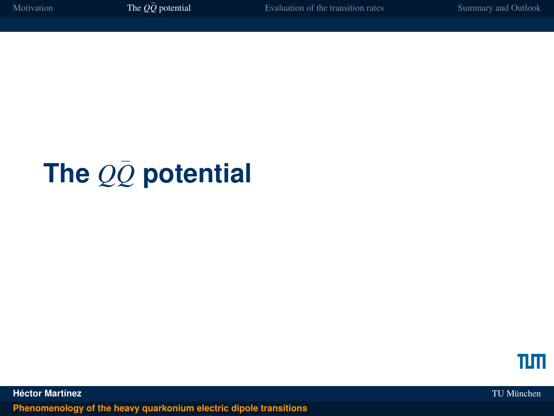# **The** *QQ*¯ **potential**

<span id="page-7-0"></span>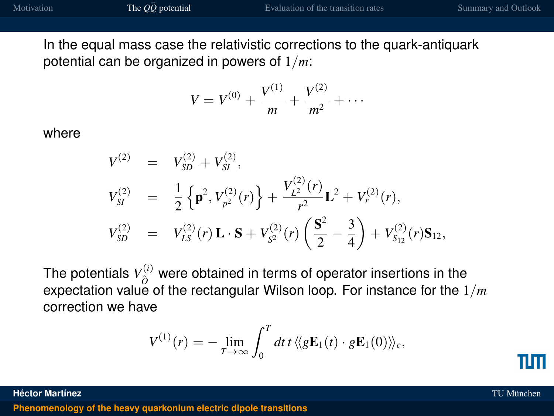In the equal mass case the relativistic corrections to the quark-antiquark potential can be organized in powers of 1/*m*:

$$
V = V^{(0)} + \frac{V^{(1)}}{m} + \frac{V^{(2)}}{m^2} + \cdots
$$

where

$$
V^{(2)} = V_{SD}^{(2)} + V_{SI}^{(2)},
$$
  
\n
$$
V_{SI}^{(2)} = \frac{1}{2} \left\{ \mathbf{p}^2, V_{p^2}^{(2)}(r) \right\} + \frac{V_{L^2}^{(2)}(r)}{r^2} \mathbf{L}^2 + V_r^{(2)}(r),
$$
  
\n
$$
V_{SD}^{(2)} = V_{LS}^{(2)}(r) \mathbf{L} \cdot \mathbf{S} + V_{S^2}^{(2)}(r) \left( \frac{\mathbf{S}^2}{2} - \frac{3}{4} \right) + V_{S_{12}}^{(2)}(r) \mathbf{S}_{12},
$$

The potentials  $V_{\hat{O}}^{(i)}$  were obtained in terms of operator insertions in the expectation value of the rectangular Wilson loop. For instance for the  $1/m$ correction we have

$$
V^{(1)}(r)=-\lim_{T\to\infty}\int_0^T dt\,t\,\langle\!\langle g\mathbf{E}_1(t)\cdot g\mathbf{E}_1(0)\rangle\!\rangle_c,
$$

**Héctor Martínez** TU München

TIM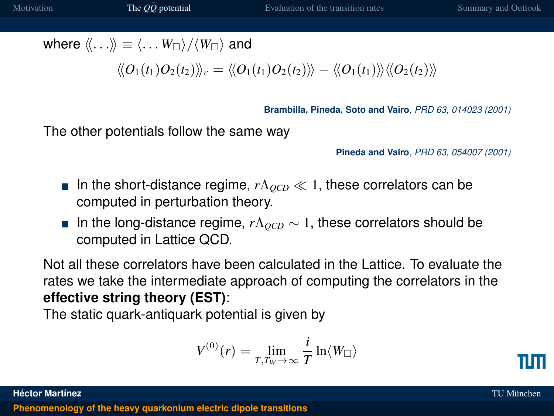where  $\langle \langle \ldots \rangle \rangle \equiv \langle \ldots \langle W_{\square} \rangle / \langle W_{\square} \rangle$  and

$$
\langle\!\langle O_1(t_1) O_2(t_2)\rangle\!\rangle_c = \langle\!\langle O_1(t_1) O_2(t_2)\rangle\!\rangle - \langle\!\langle O_1(t_1)\rangle\!\rangle \langle\!\langle O_2(t_2)\rangle\!\rangle
$$

**Brambilla, Pineda, Soto and Vairo**, *PRD 63, 014023 (2001)*

The other potentials follow the same way

**Pineda and Vairo**, *PRD 63, 054007 (2001)*

- In the short-distance regime,  $r\Lambda_{QCD} \ll 1$ , these correlators can be computed in perturbation theory.
- **■** In the long-distance regime,  $r\Lambda_{QCD}$  ~ 1, these correlators should be computed in Lattice QCD.

Not all these correlators have been calculated in the Lattice. To evaluate the rates we take the intermediate approach of computing the correlators in the **effective string theory (EST)**:

The static quark-antiquark potential is given by

$$
V^{(0)}(r) = \lim_{T, T_W \to \infty} \frac{i}{T} \ln \langle W_{\square} \rangle
$$

**Héctor Martínez** TU München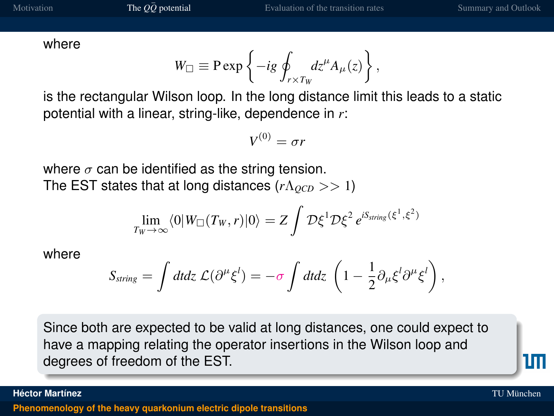where

$$
W_{\square} \equiv {\rm P} \exp \left\{ -ig \oint_{r \times T_W} dz^{\mu} A_{\mu}(z) \right\},\,
$$

is the rectangular Wilson loop. In the long distance limit this leads to a static potential with a linear, string-like, dependence in *r*:

$$
V^{(0)}=\sigma r
$$

where  $\sigma$  can be identified as the string tension. The EST states that at long distances (*r*Λ<sub>*OCD*</sub> >> 1)

$$
\lim_{T_W \to \infty} \langle 0 | W_{\Box}(T_W, r) | 0 \rangle = Z \int \mathcal{D} \xi^1 \mathcal{D} \xi^2 e^{i S_{string}(\xi^1, \xi^2)}
$$

where

$$
S_{string} = \int dt dz \mathcal{L}(\partial^{\mu}\xi^{l}) = -\sigma \int dt dz \left(1 - \frac{1}{2}\partial_{\mu}\xi^{l}\partial^{\mu}\xi^{l}\right),
$$

Since both are expected to be valid at long distances, one could expect to have a mapping relating the operator insertions in the Wilson loop and degrees of freedom of the EST.

1 M

**Héctor Martínez** TU München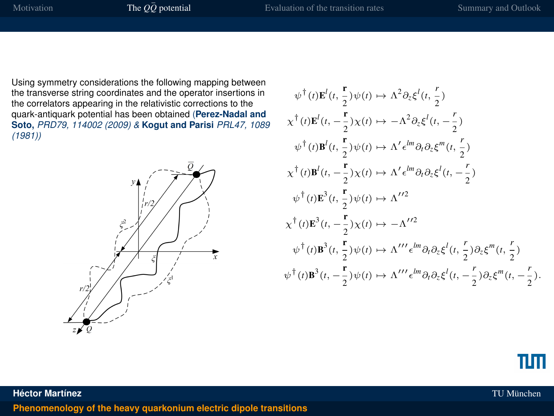Using symmetry considerations the following mapping between the transverse string coordinates and the operator insertions in the correlators appearing in the relativistic corrections to the quark-antiquark potential has been obtained (**Perez-Nadal and Soto,** *PRD79, 114002 (2009) &* **Kogut and Parisi** *PRL47, 1089 (1981))*



$$
\psi^{\dagger}(t)\mathbf{E}^{l}(t, \frac{\mathbf{r}}{2})\psi(t) \rightarrow \Lambda^{2}\partial_{\xi}\xi^{l}(t, \frac{r}{2})
$$
\n
$$
\chi^{\dagger}(t)\mathbf{E}^{l}(t, -\frac{\mathbf{r}}{2})\chi(t) \rightarrow -\Lambda^{2}\partial_{\xi}\xi^{l}(t, -\frac{r}{2})
$$
\n
$$
\psi^{\dagger}(t)\mathbf{B}^{l}(t, \frac{\mathbf{r}}{2})\psi(t) \rightarrow \Lambda^{\prime} \epsilon^{lm}\partial_{l}\partial_{\xi}\xi^{m}(t, \frac{r}{2})
$$
\n
$$
\chi^{\dagger}(t)\mathbf{B}^{l}(t, -\frac{\mathbf{r}}{2})\chi(t) \rightarrow \Lambda^{\prime} \epsilon^{lm}\partial_{t}\partial_{\xi}\xi^{l}(t, -\frac{r}{2})
$$
\n
$$
\psi^{\dagger}(t)\mathbf{E}^{3}(t, -\frac{\mathbf{r}}{2})\chi(t) \rightarrow \Lambda^{\prime\prime 2}
$$
\n
$$
\chi^{\dagger}(t)\mathbf{E}^{3}(t, -\frac{\mathbf{r}}{2})\chi(t) \rightarrow -\Lambda^{\prime\prime 2}
$$
\n
$$
\psi^{\dagger}(t)\mathbf{B}^{3}(t, -\frac{\mathbf{r}}{2})\chi(t) \rightarrow -\Lambda^{\prime\prime 2}
$$
\n
$$
\psi^{\dagger}(t)\mathbf{B}^{3}(t, \frac{\mathbf{r}}{2})\psi(t) \rightarrow \Lambda^{\prime\prime\prime} \epsilon^{lm}\partial_{l}\partial_{\xi}\xi^{l}(t, \frac{r}{2})\partial_{\xi}\xi^{m}(t, \frac{r}{2})
$$
\n
$$
\psi^{\dagger}(t)\mathbf{B}^{3}(t, -\frac{\mathbf{r}}{2})\psi(t) \rightarrow \Lambda^{\prime\prime\prime} \epsilon^{lm}\partial_{l}\partial_{\xi}\xi^{l}(t, -\frac{r}{2})\partial_{\xi}\xi^{m}(t, -\frac{r}{2}).
$$

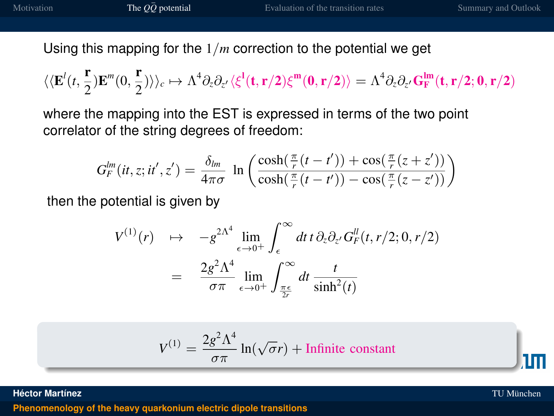Using this mapping for the 1/*m* correction to the potential we get

$$
\langle\langle E^{\prime}(t,\frac{\bm r}{2})E^m(0,\frac{\bm r}{2})\rangle\rangle_c\mapsto \Lambda^4\partial_z\partial_{z^{\prime}}\langle\xi^l(t,\bm r/2)\xi^m(0,\bm r/2)\rangle=\Lambda^4\partial_z\partial_{z^{\prime}}G_F^{lm}(t,\bm r/2;0,\bm r/2)
$$

where the mapping into the EST is expressed in terms of the two point correlator of the string degrees of freedom:

$$
G_F^{lm}(it,z;it',z') = \frac{\delta_{lm}}{4\pi\sigma} \ln\left(\frac{\cosh(\frac{\pi}{r}(t-t')) + \cos(\frac{\pi}{r}(z+z'))}{\cosh(\frac{\pi}{r}(t-t')) - \cos(\frac{\pi}{r}(z-z'))}\right)
$$

then the potential is given by

$$
V^{(1)}(r) \rightarrow -g^{2\Lambda^4} \lim_{\epsilon \to 0^+} \int_{\epsilon}^{\infty} dt \, t \, \partial_z \partial_{z'} G_F^{\mu}(t, r/2; 0, r/2)
$$
  
= 
$$
\frac{2g^2 \Lambda^4}{\sigma \pi} \lim_{\epsilon \to 0^+} \int_{\frac{\pi \epsilon}{2r}}^{\infty} dt \frac{t}{\sinh^2(t)}
$$

$$
V^{(1)} = \frac{2g^2\Lambda^4}{\sigma\pi} \ln(\sqrt{\sigma}r) + \text{Infinite constant}
$$

**Héctor Martínez** TU München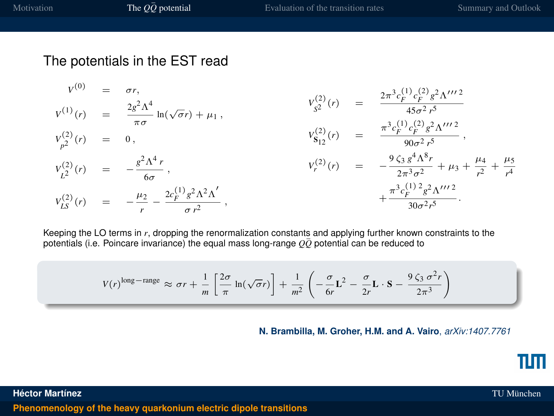#### The potentials in the EST read

$$
v^{(0)} = \sigma r,
$$
  
\n
$$
v^{(1)}(r) = \frac{2g^2\Lambda^4}{\pi\sigma} \ln(\sqrt{\sigma}r) + \mu_1,
$$
  
\n
$$
v^{(2)}_{p^2}(r) = 0,
$$
  
\n
$$
v^{(2)}_{p^2}(r) = 0,
$$
  
\n
$$
v^{(2)}_{p^2}(r) = -\frac{g^2\Lambda^4 r}{6\sigma},
$$
  
\n
$$
v^{(2)}_{L^2}(r) = -\frac{g^2\Lambda^4 r}{6\sigma},
$$
  
\n
$$
v^{(2)}_{L^2}(r) = -\frac{g^2\Lambda^4 r}{6\sigma^2},
$$
  
\n
$$
v^{(2)}_{r}(r) = -\frac{g^2\Lambda^4 r}{2\pi^3\sigma^2} + \mu_3 + \frac{\mu_4}{r^2} + \frac{\mu_5}{r^4}
$$
  
\n
$$
v^{(2)}_{L^2}(r) = -\frac{\mu_2}{r} - \frac{2c_F^{(1)}g^2\Lambda^2\Lambda'}{\sigma r^2},
$$
  
\n
$$
v^{(2)}_{r}(r) = -\frac{g^2\Lambda^4 r}{2\pi^3\sigma^2} + \mu_3 + \frac{\mu_4}{r^2} + \frac{\mu_5}{r^4}
$$
  
\n
$$
v^{(2)}_{L^2}(r) = -\frac{\mu_2}{r} - \frac{2c_F^{(1)}g^2\Lambda^2\Lambda'}{\sigma r^2},
$$

Keeping the LO terms in *r*, dropping the renormalization constants and applying further known constraints to the potentials (i.e. Poincare invariance) the equal mass long-range  $\overline{O\overline{O}}$  potential can be reduced to

$$
V(r)^{\text{long-range}} \approx \sigma r + \frac{1}{m} \left[ \frac{2\sigma}{\pi} \ln(\sqrt{\sigma}r) \right] + \frac{1}{m^2} \left( -\frac{\sigma}{6r} \mathbf{L}^2 - \frac{\sigma}{2r} \mathbf{L} \cdot \mathbf{S} - \frac{9 \zeta_3 \sigma^2 r}{2\pi^3} \right)
$$

**N. Brambilla, M. Groher, H.M. and A. Vairo**, *arXiv:1407.7761*

TUTI

#### **Héctor Martínez** TU München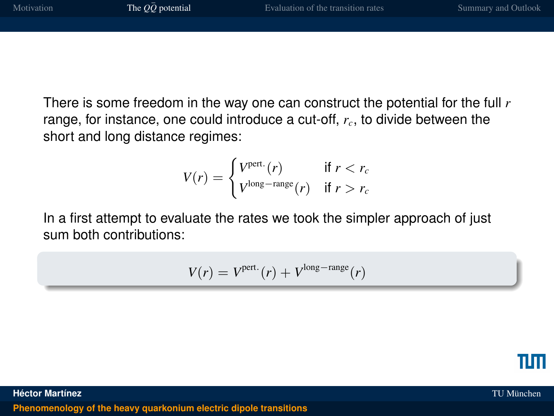There is some freedom in the way one can construct the potential for the full *r* range, for instance, one could introduce a cut-off, *rc*, to divide between the short and long distance regimes:

$$
V(r) = \begin{cases} V^{\text{pert.}}(r) & \text{if } r < r_c \\ V^{\text{long-range}}(r) & \text{if } r > r_c \end{cases}
$$

In a first attempt to evaluate the rates we took the simpler approach of just sum both contributions:

$$
V(r) = V^{\text{pert.}}(r) + V^{\text{long-range}}(r)
$$



**Héctor Martínez** TU München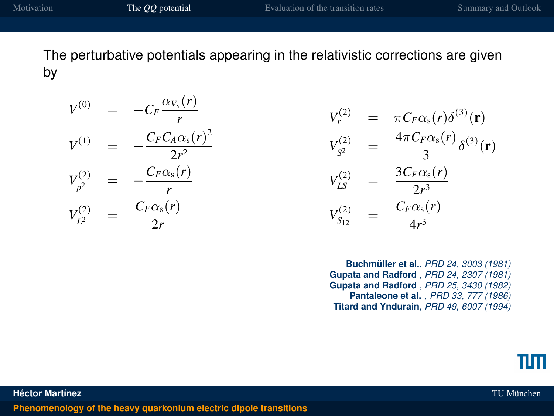The perturbative potentials appearing in the relativistic corrections are given by

$$
V^{(0)} = -C_F \frac{\alpha_{V_s}(r)}{r}
$$
  
\n
$$
V^{(1)} = -\frac{C_F C_A \alpha_s(r)^2}{2r^2}
$$
  
\n
$$
V^{(2)}_{p^2} = -\frac{C_F \alpha_s(r)}{r}
$$
  
\n
$$
V^{(2)}_{L^2} = \frac{C_F \alpha_s(r)}{2r}
$$

$$
V_r^{(2)} = \pi C_F \alpha_s(r) \delta^{(3)}(\mathbf{r})
$$
  
\n
$$
V_{S^2}^{(2)} = \frac{4\pi C_F \alpha_s(r)}{3} \delta^{(3)}(\mathbf{r})
$$
  
\n
$$
V_{LS}^{(2)} = \frac{3C_F \alpha_s(r)}{2r^3}
$$
  
\n
$$
V_{S_{12}}^{(2)} = \frac{C_F \alpha_s(r)}{4r^3}
$$

**Buchmüller et al.**, *PRD 24, 3003 (1981)* **Gupata and Radford** , *PRD 24, 2307 (1981)* **Gupata and Radford** , *PRD 25, 3430 (1982)* **Pantaleone et al.** , *PRD 33, 777 (1986)* **Titard and Yndurain**, *PRD 49, 6007 (1994)*

**Héctor Martínez** TU München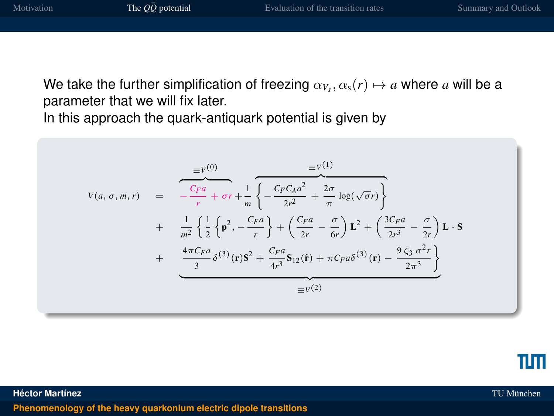We take the further simplification of freezing  $\alpha_{V_s}, \alpha_{s}(r) \mapsto a$  where  $a$  will be a parameter that we will fix later.

In this approach the quark-antiquark potential is given by

$$
V(a, \sigma, m, r) = \frac{\sqrt{C_F a}}{r} + \sigma r + \frac{1}{m} \left\{ -\frac{C_F C_A a^2}{2r^2} + \frac{2\sigma}{\pi} \log(\sqrt{\sigma}r) \right\} + \frac{1}{m^2} \left\{ \frac{1}{2} \left\{ \mathbf{p}^2, -\frac{C_F a}{r} \right\} + \left( \frac{C_F a}{2r} - \frac{\sigma}{6r} \right) \mathbf{L}^2 + \left( \frac{3C_F a}{2r^3} - \frac{\sigma}{2r} \right) \mathbf{L} \cdot \mathbf{S} + \frac{4\pi C_F a}{3} \delta^{(3)}(\mathbf{r}) \mathbf{S}^2 + \frac{C_F a}{4r^3} \mathbf{S}_{12}(\mathbf{r}) + \pi C_F a \delta^{(3)}(\mathbf{r}) - \frac{9 \zeta_3 \sigma^2 r}{2\pi^3} \right\} = V^{(2)}
$$



**Héctor Martínez** TU München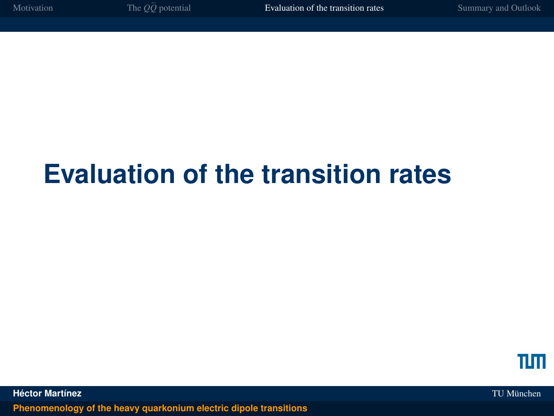# **Evaluation of the transition rates**

<span id="page-17-0"></span>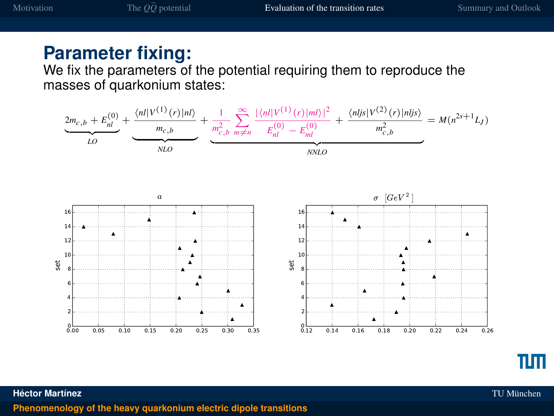#### **Parameter fixing:**

We fix the parameters of the potential requiring them to reproduce the masses of quarkonium states:



**Héctor Martínez** TU München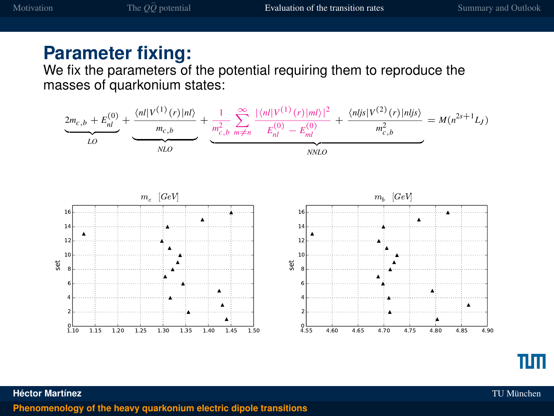#### **Parameter fixing:**

We fix the parameters of the potential requiring them to reproduce the masses of quarkonium states:



**Héctor Martínez** TU München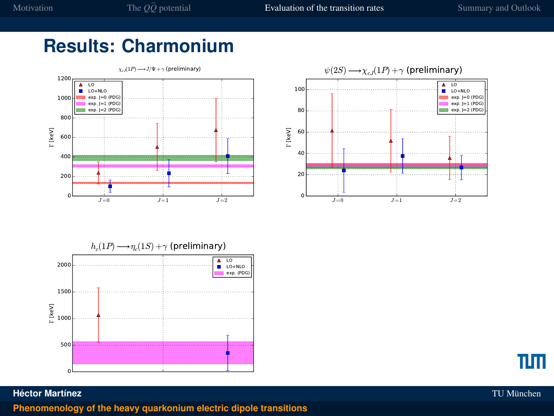### **Results: Charmonium**









#### **Héctor Martínez** TU München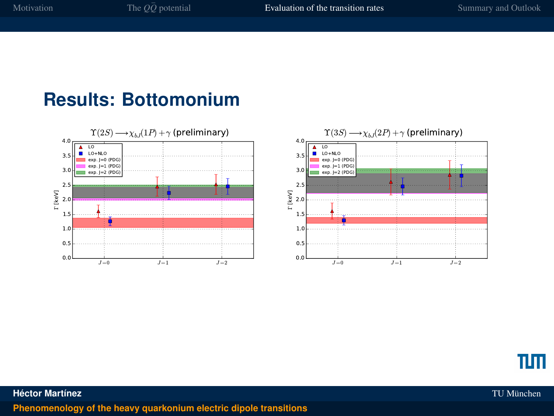#### **Results: Bottomonium**







**Héctor Martínez** TU München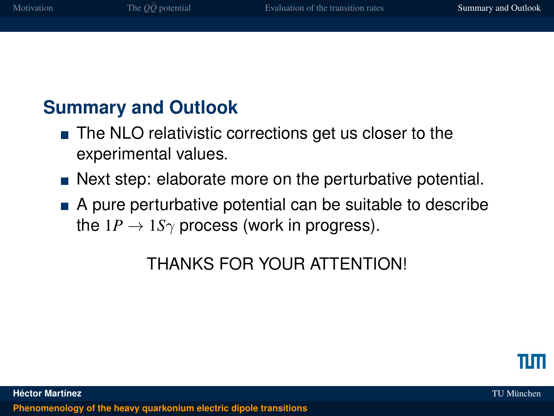## **Summary and Outlook**

- The NLO relativistic corrections get us closer to the experimental values.
- Next step: elaborate more on the perturbative potential.
- A pure perturbative potential can be suitable to describe the  $1P \rightarrow 1S\gamma$  process (work in progress).

## <span id="page-22-0"></span>THANKS FOR YOUR ATTENTION!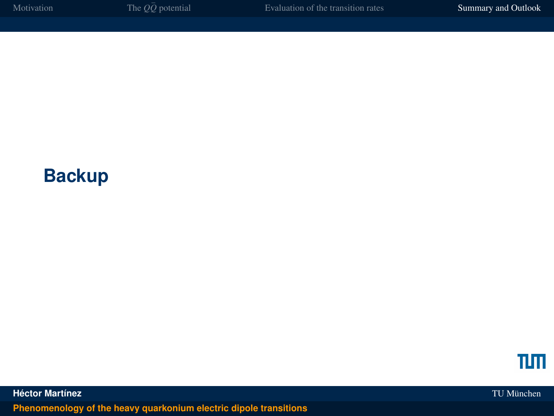## **Backup**



**Héctor Martínez** TU München **[Phenomenology of the heavy quarkonium electric dipole transitions](#page-0-0)**